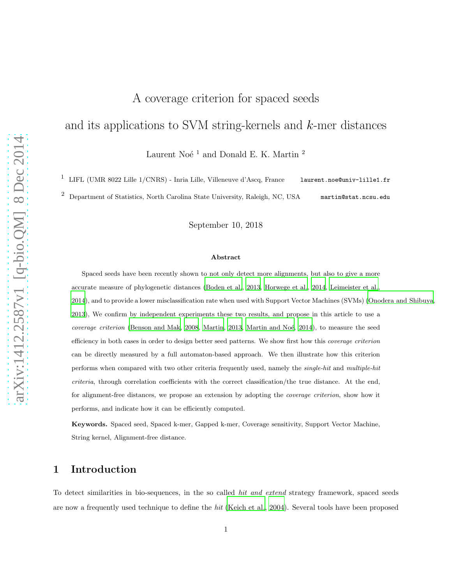# A coverage criterion for spaced seeds

# and its applications to SVM string-kernels and k-mer distances

Laurent Noé $^{\rm 1}$  and Donald E. K. Martin  $^{\rm 2}$ 

1 LIFL (UMR 8022 Lille 1/CNRS) - Inria Lille, Villeneuve d'Ascq, France laurent.noe@univ-lille1.fr

<sup>2</sup> Department of Statistics, North Carolina State University, Raleigh, NC, USA martin@stat.ncsu.edu

September 10, 2018

#### Abstract

Spaced seeds have been recently shown to not only detect more alignments, but also to give a more accurate measure of phylogenetic distances [\(Boden et al.](#page-17-0), [2013,](#page-17-0) [Horwege et al., 2014](#page-19-0), [Leimeister et al.](#page-20-0), [2014](#page-20-0)), and to provide a lower misclassification rate when used with Support Vector Machines (SVMs) [\(Onodera and Shibuya](#page-21-0), [2013](#page-21-0)), We confirm by independent experiments these two results, and propose in this article to use a *coverage criterion* [\(Benson and Mak](#page-17-1), [2008](#page-17-1), [Martin](#page-21-1), [2013,](#page-21-1) Martin and Noé, 2014), to measure the seed efficiency in both cases in order to design better seed patterns. We show first how this *coverage criterion* can be directly measured by a full automaton-based approach. We then illustrate how this criterion performs when compared with two other criteria frequently used, namely the *single-hit* and *multiple-hit criteria*, through correlation coefficients with the correct classification/the true distance. At the end, for alignment-free distances, we propose an extension by adopting the *coverage criterion*, show how it performs, and indicate how it can be efficiently computed.

Keywords. Spaced seed, Spaced k-mer, Gapped k-mer, Coverage sensitivity, Support Vector Machine, String kernel, Alignment-free distance.

### 1 Introduction

To detect similarities in bio-sequences, in the so called *hit and extend* strategy framework, spaced seeds are now a frequently used technique to define the hit [\(Keich et al., 2004\)](#page-19-1). Several tools have been proposed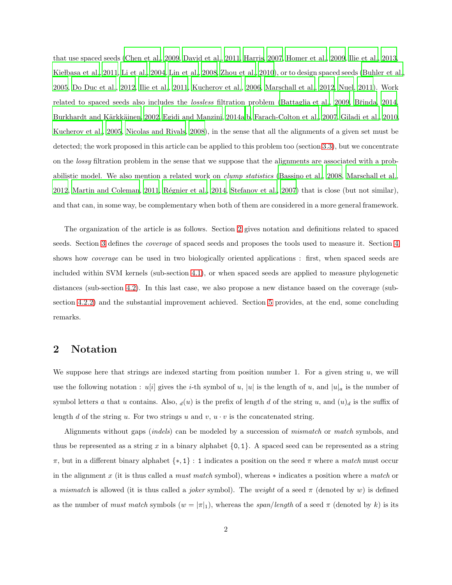that use spaced seeds [\(Chen et al., 2009,](#page-17-2) [David et al., 2011,](#page-18-0) [Harris](#page-19-2), [2007,](#page-19-2) [Homer et al.](#page-19-3), [2009,](#page-19-3) [Ilie et al., 2013](#page-19-4), Kielbasa et al., 2011, [Li et al., 2004,](#page-20-1) [Lin et al., 2008,](#page-20-2) [Zhou et al.](#page-22-0), [2010](#page-22-0)), or to design spaced seeds [\(Buhler et al.,](#page-17-3) [2005,](#page-17-3) [Do Duc et al., 2012,](#page-18-1) [Ilie et al.](#page-19-6), [2011,](#page-19-6) [Kucherov et al.](#page-20-3), [2006](#page-20-3), [Marschall et al., 2012,](#page-21-3) [Nuel](#page-21-4), [2011\)](#page-21-4). Work related to spaced seeds also includes the *lossless* filtration problem [\(Battaglia et al.](#page-16-0), [2009](#page-16-0), Břinda, [2014](#page-17-4), Burkhardt and Kärkkäinen, 2002, [Egidi and Manzini](#page-18-2), [2014a](#page-18-2)[,b](#page-18-3), [Farach-Colton et al., 2007,](#page-18-4) [Giladi et al., 2010,](#page-19-7) [Kucherov et al., 2005,](#page-20-4) [Nicolas and Rivals](#page-21-5), [2008](#page-21-5)), in the sense that all the alignments of a given set must be detected; the work proposed in this article can be applied to this problem too (section [3.3\)](#page-6-0), but we concentrate on the lossy filtration problem in the sense that we suppose that the alignments are associated with a probabilistic model. We also mention a related work on clump statistics [\(Bassino et al., 2008](#page-16-1), [Marschall et al.](#page-21-3), [2012,](#page-21-3) [Martin and Coleman](#page-21-6), [2011](#page-21-6), Régnier et al., [2014](#page-22-1), [Stefanov et](#page-22-2) al., [2007](#page-22-2)) that is close (but not similar). and that can, in some way, be complementary when both of them are considered in a more general framework.

The organization of the article is as follows. Section [2](#page-1-0) gives notation and definitions related to spaced seeds. Section [3](#page-2-0) defines the coverage of spaced seeds and proposes the tools used to measure it. Section [4](#page-6-1) shows how coverage can be used in two biologically oriented applications : first, when spaced seeds are included within SVM kernels (sub-section [4.1\)](#page-7-0), or when spaced seeds are applied to measure phylogenetic distances (sub-section [4.2\)](#page-9-0). In this last case, we also propose a new distance based on the coverage (subsection [4.2.2\)](#page-11-0) and the substantial improvement achieved. Section [5](#page-14-0) provides, at the end, some concluding remarks.

## <span id="page-1-0"></span>2 Notation

We suppose here that strings are indexed starting from position number 1. For a given string  $u$ , we will use the following notation :  $u[i]$  gives the *i*-th symbol of u, |u| is the length of u, and  $|u|_a$  is the number of symbol letters a that u contains. Also,  $d(u)$  is the prefix of length d of the string u, and  $(u)_d$  is the suffix of length d of the string u. For two strings u and v,  $u \cdot v$  is the concatenated string.

Alignments without gaps (indels) can be modeled by a succession of mismatch or match symbols, and thus be represented as a string x in a binary alphabet  $\{0, 1\}$ . A spaced seed can be represented as a string  $\pi$ , but in a different binary alphabet  $\{*,1\}$ : 1 indicates a position on the seed  $\pi$  where a match must occur in the alignment x (it is thus called a must match symbol), whereas ∗ indicates a position where a match or a mismatch is allowed (it is thus called a *joker* symbol). The weight of a seed  $\pi$  (denoted by w) is defined as the number of *must match* symbols  $(w = |\pi|_1)$ , whereas the *span/length* of a seed  $\pi$  (denoted by k) is its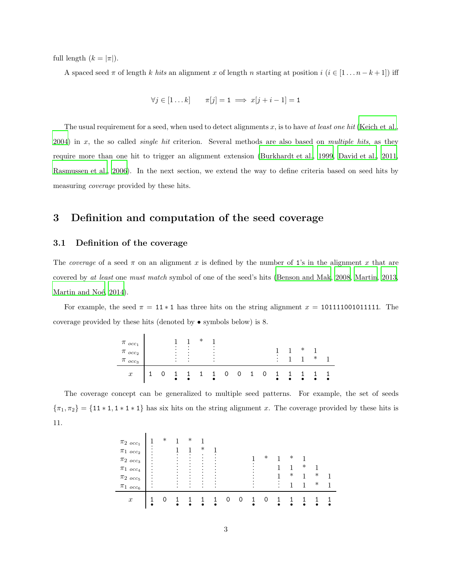full length  $(k = |\pi|)$ .

A spaced seed  $\pi$  of length k hits an alignment x of length n starting at position  $i$   $(i \in [1 \dots n-k+1])$  iff

$$
\forall j \in [1 \dots k] \qquad \pi[j] = 1 \implies x[j + i - 1] = 1
$$

The usual requirement for a seed, when used to detect alignments x, is to have at least one hit [\(Keich et al.](#page-19-1),  $2004$ ) in x, the so called *single hit* criterion. Several methods are also based on multiple hits, as they require more than one hit to trigger an alignment extension [\(Burkhardt et al., 1999](#page-17-6), [David et al., 2011](#page-18-0), [Rasmussen et al.](#page-22-3), [2006\)](#page-22-3). In the next section, we extend the way to define criteria based on seed hits by measuring coverage provided by these hits.

# <span id="page-2-1"></span><span id="page-2-0"></span>3 Definition and computation of the seed coverage

### 3.1 Definition of the coverage

 $\mathbf{I}$ 

 $\mathbf{r}$ 

The coverage of a seed  $\pi$  on an alignment x is defined by the number of 1's in the alignment x that are covered by at least one must match symbol of one of the seed's hits [\(Benson and Mak](#page-17-1), [2008,](#page-17-1) [Martin](#page-21-1), [2013](#page-21-1), Martin and Noé, 2014).

For example, the seed  $\pi = 11 * 1$  has three hits on the string alignment  $x = 101111001011111$ . The coverage provided by these hits (denoted by • symbols below) is 8.

| $\pi_{occ_1}$<br>$\pi$ occ <sub>2</sub> |  | ٠<br>٠<br>٠ | ٠<br>٠                              | v<br>́ | $\bullet$           |   |  |        | ∗ |        |  |
|-----------------------------------------|--|-------------|-------------------------------------|--------|---------------------|---|--|--------|---|--------|--|
| $\pi$ occ <sub>3</sub>                  |  | ٠<br>٠<br>٠ | $\bullet$<br>$\bullet$<br>$\bullet$ |        | ٠<br>٠<br>$\bullet$ |   |  | ٠<br>۰ |   | $\ast$ |  |
| $\boldsymbol{x}$                        |  |             |                                     |        |                     | 0 |  |        |   |        |  |

The coverage concept can be generalized to multiple seed patterns. For example, the set of seeds  ${\pi_1, \pi_2} = {11 * 1, 1 * 1 * 1}$  has six hits on the string alignment x. The coverage provided by these hits is 11.

| $\pi_{2\; occ_1}$   | $\ast$ |   | ∗ |        |   |          |   |        |        |   |        |  |
|---------------------|--------|---|---|--------|---|----------|---|--------|--------|---|--------|--|
|                     |        |   |   | $\ast$ |   |          |   |        |        |   |        |  |
| $\pi_{1\; occ_2}$   |        |   |   | ٠      |   |          |   |        |        |   |        |  |
| $\pi_{2\; occ_3}$   |        |   |   |        |   |          |   | $\ast$ | $\ast$ |   |        |  |
| $\pi_{1\,\; occ_4}$ |        |   |   |        |   |          |   |        |        | ∗ |        |  |
| $\pi_{2\; occ_5}$   |        |   |   |        |   |          |   |        | $\ast$ |   | ∗      |  |
| $\pi_{1\; occ_6}$   |        | ٠ |   | ۰      | ٠ |          |   |        |        |   | $\ast$ |  |
|                     |        |   |   |        |   |          |   |        |        |   |        |  |
| $\boldsymbol{x}$    |        |   |   |        |   | $\Omega$ | O |        |        |   |        |  |
|                     |        |   |   |        | ٠ |          |   |        |        |   |        |  |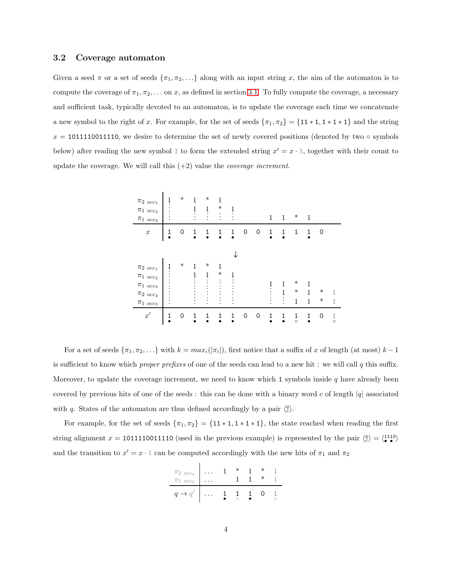#### <span id="page-3-0"></span>3.2 Coverage automaton

Given a seed  $\pi$  or a set of seeds  $\{\pi_1, \pi_2, \ldots\}$  along with an input string x, the aim of the automaton is to compute the coverage of  $\pi_1, \pi_2, \ldots$  on x, as defined in section [3.1.](#page-2-1) To fully compute the coverage, a necessary and sufficient task, typically devoted to an automaton, is to update the coverage each time we concatenate a new symbol to the right of x. For example, for the set of seeds  ${\pi_1, \pi_2} = {11 * 1, 1 * 1 * 1}$  and the string  $x = 1011110011110$ , we desire to determine the set of newly covered positions (denoted by two  $\circ$  symbols below) after reading the new symbol 1 to form the extended string  $x' = x \cdot 1$ , together with their count to update the coverage. We will call this  $(+2)$  value the *coverage increment*.

| $\pi_{2~occ_1}$<br>$\pi_{1\ occ_2}$<br>$\pi_{1\ occ_3}$                                        | 1<br>٠      | $\ast$ | 1<br>1<br>٠<br>٠ | $\ast$<br>1                                             | 1<br>$\ast$<br>٠<br>$\bullet$<br>$\cdot$ | 1<br>$\bullet$<br>$\cdot$ |   |   | $\mathbf 1$         | $\mathbf{1}$             | $\ast$                           | 1           |                  |              |
|------------------------------------------------------------------------------------------------|-------------|--------|------------------|---------------------------------------------------------|------------------------------------------|---------------------------|---|---|---------------------|--------------------------|----------------------------------|-------------|------------------|--------------|
| $\boldsymbol{x}$                                                                               | 1           | 0      | 1                | 1                                                       | 1                                        | 1                         | 0 | 0 | $\frac{1}{\bullet}$ | 1                        | 1                                | 1           | 0                |              |
|                                                                                                |             |        |                  |                                                         |                                          |                           |   |   |                     |                          |                                  |             |                  |              |
| $\pi_{2~occ_1}$<br>$\pi_{1~occ_2}$<br>$\pi_{1~occ_3}$<br>$\pi_2$ $_{occ_4}$<br>$\pi_{1~occ_5}$ | 1           | $\ast$ | 1<br>1<br>۰      | $\ast$<br>$\mathbf 1$<br>$\ddot{\phantom{0}}$<br>٠<br>٠ | 1<br>$\ast$<br>٠<br>٠                    | 1                         |   |   | ٠                   | 1<br>1<br>٠<br>$\bullet$ | $\ast$<br>$\ast$<br>$\mathbf{1}$ | 1<br>1<br>1 | $\ast$<br>$\ast$ | 1<br>1       |
| $x^{\prime}$                                                                                   | $\mathbf 1$ | 0      | 1                | 1                                                       | 1                                        | 1                         | 0 | 0 | 1                   | 1                        | 1<br>$\circ$                     | 1           | 0                | 1<br>$\circ$ |

For a set of seeds  $\{\pi_1, \pi_2, \ldots\}$  with  $k = max_i(|\pi_i|)$ , first notice that a suffix of x of length (at most)  $k-1$ is sufficient to know which *proper prefixes* of one of the seeds can lead to a new hit : we will call q this suffix. Moreover, to update the coverage increment, we need to know which 1 symbols inside  $q$  have already been covered by previous hits of one of the seeds : this can be done with a binary word c of length  $|q|$  associated with q. States of the automaton are thus defined accordingly by a pair  $\langle \frac{q}{c} \rangle$ .

For example, for the set of seeds  $\{\pi_1, \pi_2\} = \{11 * 1, 1 * 1 * 1\}$ , the state reached when reading the first string alignment  $x = 1011110011110$  (used in the previous example) is represented by the pair  $\langle \frac{q}{c} \rangle = \langle \frac{1110}{c} \rangle$ and the transition to  $x' = x \cdot 1$  can be computed accordingly with the new hits of  $\pi_1$  and  $\pi_2$ 

$$
\begin{array}{c|ccccccccc}\n\pi_{2\,\,occ_4} & \ldots & 1 & * & 1 & * & 1\\
\pi_{1\,\,occ_5} & \ldots & & 1 & 1 & * & 1\\
q \rightarrow q' & \ldots & 1 & 1 & 1 & 0 & 1\\
\end{array}
$$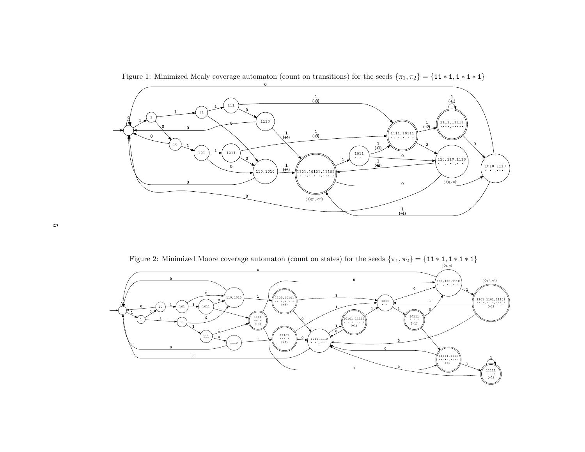

Figure 1: Minimized Mealy coverage automaton (count on transitions) for the seeds  $\{\pi_1, \pi_2\} = \{11 * 1, 1 * 1 * 1\}$ 

<span id="page-4-1"></span><span id="page-4-0"></span>Figure 2: Minimized Moore coverage automaton (count on states) for the seeds  $\{\pi_1, \pi_2\} = \{11 * 1, 1 * 1 * 1\}$ 

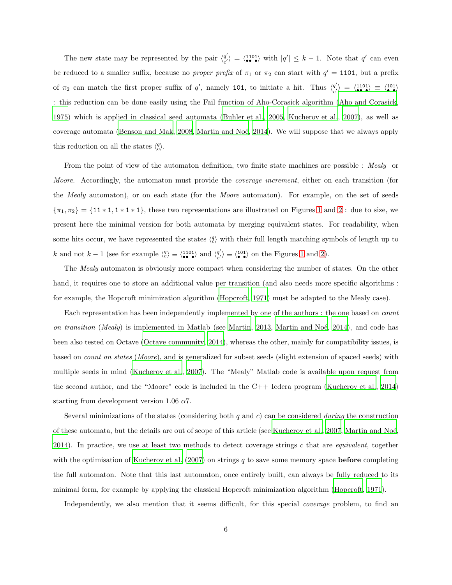The new state may be represented by the pair  $\frac{q'}{q'}$  $\begin{array}{c}\n q' \\
 q' \end{array}$  =  $\langle \begin{array}{c} 1101 \\
 \bullet \end{array} \rangle$  with  $|q'| \leq k-1$ . Note that  $q'$  can even be reduced to a smaller suffix, because no *proper prefix* of  $\pi_1$  or  $\pi_2$  can start with  $q' = 1101$ , but a prefix of  $\pi_2$  can match the first proper suffix of q', namely 101, to initiate a hit. Thus  $\frac{q'}{q'}$  $\begin{array}{l} \left\langle \begin{array}{l} q' \end{array} \right\rangle \; = \; \left\langle \begin{array}{l} 1101 \text{)} = \end{array} \right\rangle \; \equiv \; \left\langle \begin{array}{l} 101 \text{)} = \end{array} \right\rangle \end{array}$ : this reduction can be done easily using the Fail function of Aho-Corasick algorithm [\(Aho and Corasick](#page-16-2), [1975\)](#page-16-2) which is applied in classical seed automata [\(Buhler et al., 2005,](#page-17-3) [Kucherov et al., 2007\)](#page-20-5), as well as coverage automata [\(Benson and Mak, 2008,](#page-17-1) Martin and Noé, 2014). We will suppose that we always apply this reduction on all the states  $\langle \frac{q}{c} \rangle$ .

From the point of view of the automaton definition, two finite state machines are possible : Mealy or Moore. Accordingly, the automaton must provide the *coverage increment*, either on each transition (for the *Mealy* automaton), or on each state (for the *Moore* automaton). For example, on the set of seeds  ${\pi_1, \pi_2} = {11 * 1, 1 * 1 * 1}$  ${\pi_1, \pi_2} = {11 * 1, 1 * 1 * 1}$  ${\pi_1, \pi_2} = {11 * 1, 1 * 1 * 1}$ , these two representations are illustrated on Figures 1 and [2](#page-4-1) : due to size, we present here the minimal version for both automata by merging equivalent states. For readability, when some hits occur, we have represented the states  $\langle \frac{q}{c} \rangle$  with their full length matching symbols of length up to *k* and not *k* – 1 (see for example  $\langle \frac{q}{c} \rangle \equiv \langle \frac{1101}{•} \rangle$  and  $\langle \frac{q'}{c'} \rangle$  $\langle q'_{\bullet} \rangle \equiv \langle 101 \rangle$  $\langle q'_{\bullet} \rangle \equiv \langle 101 \rangle$  $\langle q'_{\bullet} \rangle \equiv \langle 101 \rangle$  on the Figures 1 and [2\)](#page-4-1).

The *Mealy* automaton is obviously more compact when considering the number of states. On the other hand, it requires one to store an additional value per transition (and also needs more specific algorithms : for example, the Hopcroft minimization algorithm [\(Hopcroft](#page-19-8), [1971](#page-19-8)) must be adapted to the Mealy case).

Each representation has been independently implemented by one of the authors : the one based on count on transition (Mealy) is implemented in Matlab (see [Martin](#page-21-1), [2013,](#page-21-1) Martin and Noé, 2014), and code has been also tested on Octave [\(Octave community, 2014](#page-21-7)), whereas the other, mainly for compatibility issues, is based on count on states (Moore), and is generalized for subset seeds (slight extension of spaced seeds) with multiple seeds in mind [\(Kucherov et al., 2007\)](#page-20-5). The "Mealy" Matlab code is available upon request from the second author, and the "Moore" code is included in the C++ Iedera program [\(Kucherov et al., 2014](#page-20-6)) starting from development version 1.06  $\alpha$ 7.

Several minimizations of the states (considering both  $q$  and  $c$ ) can be considered *during* the construction of these automata, but the details are out of scope of this article (see [Kucherov et al., 2007,](#page-20-5) Martin and Noé, [2014\)](#page-21-2). In practice, we use at least two methods to detect coverage strings c that are *equivalent*, together with the optimisation of Kucherov et al.  $(2007)$  on strings q to save some memory space **before** completing the full automaton. Note that this last automaton, once entirely built, can always be fully reduced to its minimal form, for example by applying the classical Hopcroft minimization algorithm [\(Hopcroft](#page-19-8), [1971](#page-19-8)).

Independently, we also mention that it seems difficult, for this special *coverage* problem, to find an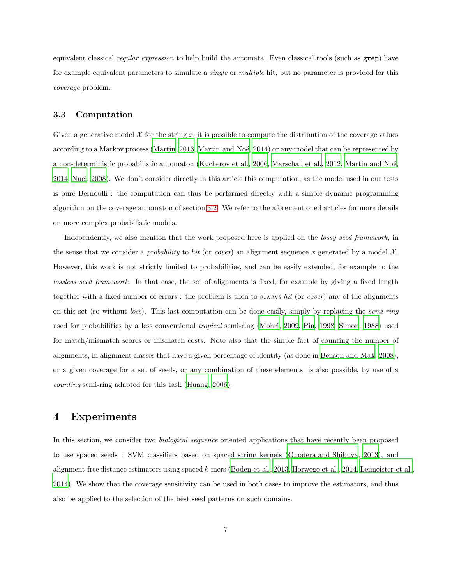equivalent classical regular expression to help build the automata. Even classical tools (such as grep) have for example equivalent parameters to simulate a single or multiple hit, but no parameter is provided for this coverage problem.

### <span id="page-6-0"></span>3.3 Computation

Given a generative model  $\mathcal X$  for the string x, it is possible to compute the distribution of the coverage values according to a Markov process [\(Martin, 2013,](#page-21-1) Martin and Noé, 2014) or any model that can be represented by a non-deterministic probabilistic automaton [\(Kucherov et al., 2006,](#page-20-3) [Marschall et al., 2012,](#page-21-3) Martin and Noé, [2014,](#page-21-2) [Nuel, 2008\)](#page-21-8). We don't consider directly in this article this computation, as the model used in our tests is pure Bernoulli : the computation can thus be performed directly with a simple dynamic programming algorithm on the coverage automaton of section [3.2.](#page-3-0) We refer to the aforementioned articles for more details on more complex probabilistic models.

Independently, we also mention that the work proposed here is applied on the *lossy seed framework*, in the sense that we consider a *probability* to hit (or *cover*) an alignment sequence x generated by a model  $\mathcal{X}$ . However, this work is not strictly limited to probabilities, and can be easily extended, for example to the lossless seed framework. In that case, the set of alignments is fixed, for example by giving a fixed length together with a fixed number of errors : the problem is then to always hit (or cover) any of the alignments on this set (so without *loss*). This last computation can be done easily, simply by replacing the *semi-ring* used for probabilities by a less conventional tropical semi-ring [\(Mohri](#page-21-9), [2009,](#page-21-9) [Pin](#page-21-10), [1998,](#page-21-10) [Simon](#page-22-4), [1988\)](#page-22-4) used for match/mismatch scores or mismatch costs. Note also that the simple fact of counting the number of alignments, in alignment classes that have a given percentage of identity (as done in [Benson and Mak, 2008\)](#page-17-1), or a given coverage for a set of seeds, or any combination of these elements, is also possible, by use of a counting semi-ring adapted for this task [\(Huang, 2006\)](#page-19-9).

### <span id="page-6-1"></span>4 Experiments

In this section, we consider two *biological sequence* oriented applications that have recently been proposed to use spaced seeds : SVM classifiers based on spaced string kernels [\(Onodera and Shibuya](#page-21-0), [2013\)](#page-21-0), and alignment-free distance estimators using spaced k-mers [\(Boden et al., 2013,](#page-17-0) [Horwege et al.](#page-19-0), [2014](#page-19-0), [Leimeister et al.,](#page-20-0) [2014\)](#page-20-0). We show that the coverage sensitivity can be used in both cases to improve the estimators, and thus also be applied to the selection of the best seed patterns on such domains.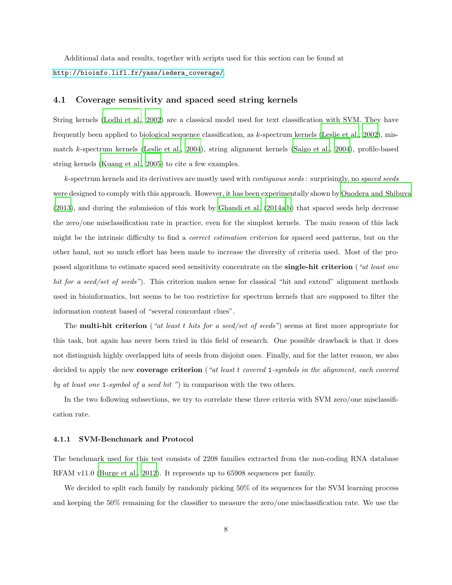<span id="page-7-0"></span>Additional data and results, together with scripts used for this section can be found at [http://bioinfo.lifl.fr/yass/iedera\\_coverage/](http://bioinfo.lifl.fr/yass/iedera_coverage/).

### 4.1 Coverage sensitivity and spaced seed string kernels

String kernels [\(Lodhi et al.](#page-20-7), [2002](#page-20-7)) are a classical model used for text classification with SVM. They have frequently been applied to biological sequence classification, as k-spectrum kernels [\(Leslie et al., 2002\)](#page-20-8), mismatch k-spectrum kernels [\(Leslie et al., 2004\)](#page-20-9), string alignment kernels [\(Saigo et al., 2004\)](#page-22-5), profile-based string kernels [\(Kuang et al., 2005\)](#page-20-10) to cite a few examples.

k-spectrum kernels and its derivatives are mostly used with contiguous seeds : surprisingly, no spaced seeds were designed to comply with this approach. However, it has been experimentally shown by [Onodera and Shibuya](#page-21-0)  $(2013)$ , and during the submission of this work by Ghandi et al.  $(2014a,b)$  $(2014a,b)$  $(2014a,b)$  that spaced seeds help decrease the zero/one misclassification rate in practice, even for the simplest kernels. The main reason of this lack might be the intrinsic difficulty to find a correct estimation criterion for spaced seed patterns, but on the other hand, not so much effort has been made to increase the diversity of criteria used. Most of the proposed algorithms to estimate spaced seed sensitivity concentrate on the **single-hit criterion** ("at least one hit for a seed/set of seeds"). This criterion makes sense for classical "hit and extend" alignment methods used in bioinformatics, but seems to be too restrictive for spectrum kernels that are supposed to filter the information content based of "several concordant clues".

The **multi-hit criterion** ("at least t hits for a seed/set of seeds") seems at first more appropriate for this task, but again has never been tried in this field of research. One possible drawback is that it does not distinguish highly overlapped hits of seeds from disjoint ones. Finally, and for the latter reason, we also decided to apply the new coverage criterion ("at least t covered 1-symbols in the alignment, each covered by at least one 1-symbol of a seed hit ") in comparison with the two others.

In the two following subsections, we try to correlate these three criteria with SVM zero/one misclassification rate.

#### 4.1.1 SVM-Benchmark and Protocol

The benchmark used for this test consists of 2208 families extracted from the non-coding RNA database RFAM v11.0 [\(Burge et al.](#page-17-7), [2012](#page-17-7)). It represents up to 65908 sequences per family.

We decided to split each family by randomly picking  $50\%$  of its sequences for the SVM learning process and keeping the 50% remaining for the classifier to measure the zero/one misclassification rate. We use the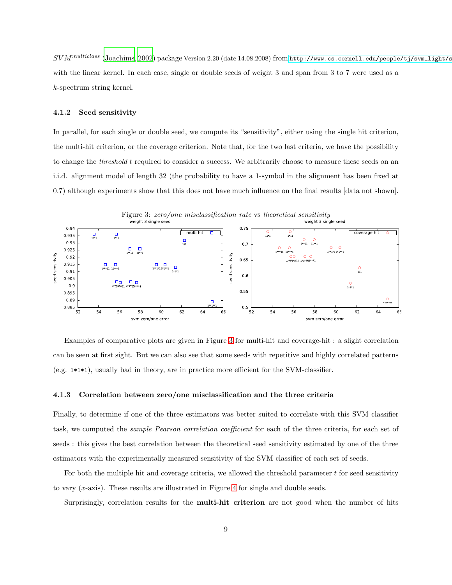$SVM^{multiclass}$  [\(Joachims, 2002\)](#page-19-10) package Version 2.20 (date 14.08.2008) from http://www.cs.cornell.edu/people/tj/svm\_light/s with the linear kernel. In each case, single or double seeds of weight 3 and span from 3 to 7 were used as a k-spectrum string kernel.

#### 4.1.2 Seed sensitivity

In parallel, for each single or double seed, we compute its "sensitivity", either using the single hit criterion, the multi-hit criterion, or the coverage criterion. Note that, for the two last criteria, we have the possibility to change the threshold t required to consider a success. We arbitrarily choose to measure these seeds on an i.i.d. alignment model of length 32 (the probability to have a 1-symbol in the alignment has been fixed at 0.7) although experiments show that this does not have much influence on the final results [data not shown].

<span id="page-8-0"></span>

Examples of comparative plots are given in Figure [3](#page-8-0) for multi-hit and coverage-hit : a slight correlation can be seen at first sight. But we can also see that some seeds with repetitive and highly correlated patterns (e.g. 1\*1\*1), usually bad in theory, are in practice more efficient for the SVM-classifier.

#### 4.1.3 Correlation between zero/one misclassification and the three criteria

Finally, to determine if one of the three estimators was better suited to correlate with this SVM classifier task, we computed the sample Pearson correlation coefficient for each of the three criteria, for each set of seeds : this gives the best correlation between the theoretical seed sensitivity estimated by one of the three estimators with the experimentally measured sensitivity of the SVM classifier of each set of seeds.

For both the multiple hit and coverage criteria, we allowed the threshold parameter  $t$  for seed sensitivity to vary  $(x$ -axis). These results are illustrated in Figure [4](#page-9-1) for single and double seeds.

Surprisingly, correlation results for the **multi-hit criterion** are not good when the number of hits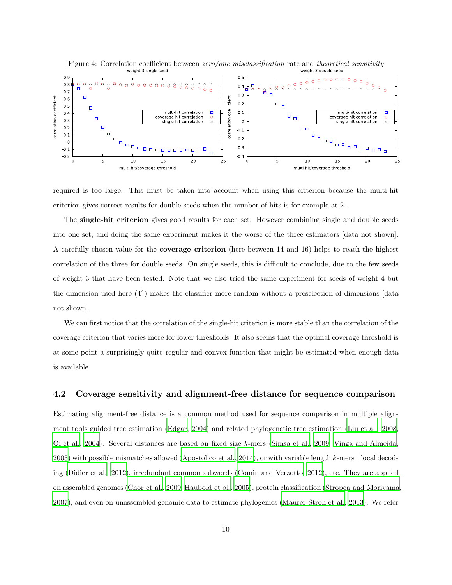<span id="page-9-1"></span>

required is too large. This must be taken into account when using this criterion because the multi-hit criterion gives correct results for double seeds when the number of hits is for example at 2 .

The single-hit criterion gives good results for each set. However combining single and double seeds into one set, and doing the same experiment makes it the worse of the three estimators [data not shown]. A carefully chosen value for the coverage criterion (here between 14 and 16) helps to reach the highest correlation of the three for double seeds. On single seeds, this is difficult to conclude, due to the few seeds of weight 3 that have been tested. Note that we also tried the same experiment for seeds of weight 4 but the dimension used here (4<sup>4</sup> ) makes the classifier more random without a preselection of dimensions [data not shown].

We can first notice that the correlation of the single-hit criterion is more stable than the correlation of the coverage criterion that varies more for lower thresholds. It also seems that the optimal coverage threshold is at some point a surprisingly quite regular and convex function that might be estimated when enough data is available.

### <span id="page-9-0"></span>4.2 Coverage sensitivity and alignment-free distance for sequence comparison

Estimating alignment-free distance is a common method used for sequence comparison in multiple alignment tools guided tree estimation [\(Edgar, 2004\)](#page-18-7) and related phylogenetic tree estimation [\(Liu et al., 2008](#page-20-11), [Qi et al., 2004\)](#page-22-6). Several distances are based on fixed size k-mers [\(Simsa et al.](#page-22-7), [2009,](#page-22-7) [Vinga and Almeida](#page-22-8), [2003\)](#page-22-8) with possible mismatches allowed [\(Apostolico et al.](#page-16-3), [2014](#page-16-3)), or with variable length k-mers : local decoding [\(Didier et al., 2012\)](#page-18-8), irredundant common subwords [\(Comin and Verzotto, 2012\)](#page-17-8), etc. They are applied on assembled genomes [\(Chor et al.](#page-17-9), [2009](#page-17-9), [Haubold et al., 2005\)](#page-19-11), protein classification [\(Stropea and Moriyama](#page-22-9), [2007\)](#page-22-9), and even on unassembled genomic data to estimate phylogenies [\(Maurer-Stroh et al., 2013\)](#page-21-11). We refer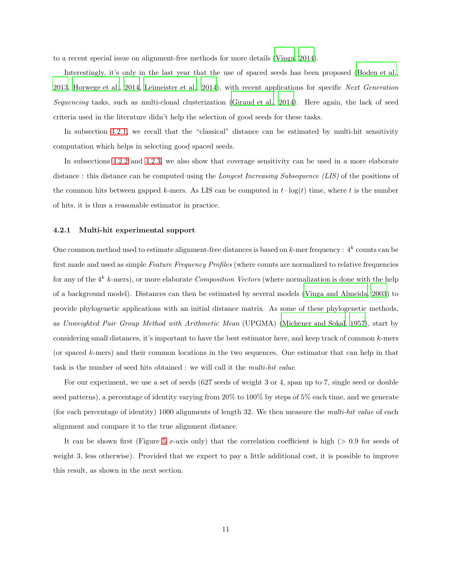to a recent special issue on alignment-free methods for more details [\(Vinga](#page-22-10), [2014\)](#page-22-10).

Interestingly, it's only in the last year that the use of spaced seeds has been proposed [\(Boden et al.](#page-17-0), [2013,](#page-17-0) [Horwege et al., 2014,](#page-19-0) [Leimeister et al.](#page-20-0), [2014\)](#page-20-0), with recent applications for specific Next Generation Sequencing tasks, such as multi-clonal clusterization [\(Giraud et al.](#page-19-12), [2014\)](#page-19-12). Here again, the lack of seed criteria used in the literature didn't help the selection of good seeds for these tasks.

In subsection [4.2.1,](#page-10-0) we recall that the "classical" distance can be estimated by multi-hit sensitivity computation which helps in selecting good spaced seeds.

In subsections [4.2.2](#page-11-0) and [4.2.3,](#page-13-0) we also show that coverage sensitivity can be used in a more elaborate distance : this distance can be computed using the *Longest Increasing Subsequence (LIS)* of the positions of the common hits between gapped k-mers. As LIS can be computed in  $t \cdot \log(t)$  time, where t is the number of hits, it is thus a reasonable estimator in practice.

#### <span id="page-10-0"></span>4.2.1 Multi-hit experimental support

One common method used to estimate alignment-free distances is based on  $k$ -mer frequency :  $4^k$  counts can be first made and used as simple Feature Frequency Profiles (where counts are normalized to relative frequencies for any of the  $4^k$  k-mers), or more elaborate Composition Vectors (where normalization is done with the help of a background model). Distances can then be estimated by several models [\(Vinga and Almeida, 2003\)](#page-22-8) to provide phylogenetic applications with an initial distance matrix. As some of these phylogenetic methods, as Unweighted Pair Group Method with Arithmetic Mean (UPGMA) [\(Michener and Sokal, 1957\)](#page-21-12), start by considering small distances, it's important to have the best estimator here, and keep track of common k-mers (or spaced k-mers) and their common locations in the two sequences. One estimator that can help in that task is the number of seed hits obtained : we will call it the multi-hit value.

For our experiment, we use a set of seeds (627 seeds of weight 3 or 4, span up to 7, single seed or double seed patterns), a percentage of identity varying from 20% to 100% by steps of 5% each time, and we generate (for each percentage of identity) 1000 alignments of length 32. We then measure the multi-hit value of each alignment and compare it to the true alignment distance.

It can be shown first (Figure [5](#page-12-0) x-axis only) that the correlation coefficient is high ( $> 0.9$  for seeds of weight 3, less otherwise). Provided that we expect to pay a little additional cost, it is possible to improve this result, as shown in the next section.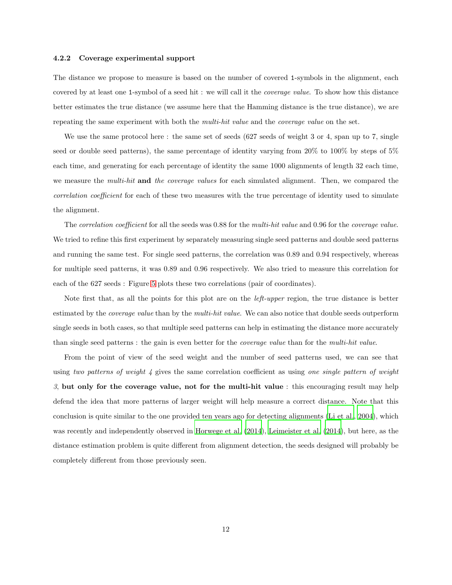#### <span id="page-11-0"></span>4.2.2 Coverage experimental support

The distance we propose to measure is based on the number of covered 1-symbols in the alignment, each covered by at least one 1-symbol of a seed hit : we will call it the coverage value. To show how this distance better estimates the true distance (we assume here that the Hamming distance is the true distance), we are repeating the same experiment with both the *multi-hit value* and the *coverage value* on the set.

We use the same protocol here: the same set of seeds (627 seeds of weight 3 or 4, span up to 7, single seed or double seed patterns), the same percentage of identity varying from 20% to 100% by steps of 5% each time, and generating for each percentage of identity the same 1000 alignments of length 32 each time, we measure the *multi-hit* and the coverage values for each simulated alignment. Then, we compared the correlation coefficient for each of these two measures with the true percentage of identity used to simulate the alignment.

The *correlation coefficient* for all the seeds was 0.88 for the *multi-hit value* and 0.96 for the *coverage value*. We tried to refine this first experiment by separately measuring single seed patterns and double seed patterns and running the same test. For single seed patterns, the correlation was 0.89 and 0.94 respectively, whereas for multiple seed patterns, it was 0.89 and 0.96 respectively. We also tried to measure this correlation for each of the 627 seeds : Figure [5](#page-12-0) plots these two correlations (pair of coordinates).

Note first that, as all the points for this plot are on the *left-upper* region, the true distance is better estimated by the *coverage value* than by the *multi-hit value*. We can also notice that double seeds outperform single seeds in both cases, so that multiple seed patterns can help in estimating the distance more accurately than single seed patterns : the gain is even better for the coverage value than for the multi-hit value.

From the point of view of the seed weight and the number of seed patterns used, we can see that using two patterns of weight  $\lambda$  gives the same correlation coefficient as using one single pattern of weight  $3$ , but only for the coverage value, not for the multi-hit value : this encouraging result may help defend the idea that more patterns of larger weight will help measure a correct distance. Note that this conclusion is quite similar to the one provided ten years ago for detecting alignments [\(Li et al., 2004](#page-20-1)), which was recently and independently observed in [Horwege et al. \(2014](#page-19-0)), [Leimeister et al. \(2014\)](#page-20-0), but here, as the distance estimation problem is quite different from alignment detection, the seeds designed will probably be completely different from those previously seen.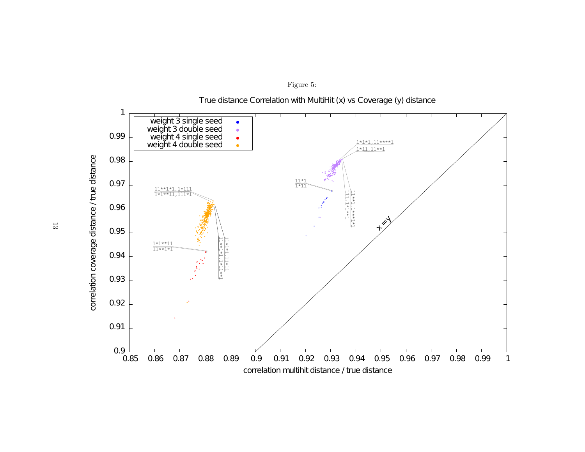

<span id="page-12-0"></span>Figure 5: True distance Correlation with MultiHit (x) vs Coverage (y) distance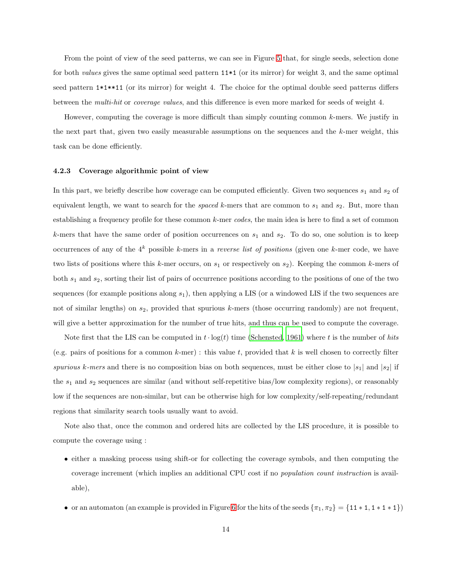From the point of view of the seed patterns, we can see in Figure [5](#page-12-0) that, for single seeds, selection done for both values gives the same optimal seed pattern  $11*1$  (or its mirror) for weight 3, and the same optimal seed pattern  $1*1**11$  (or its mirror) for weight 4. The choice for the optimal double seed patterns differs between the multi-hit or coverage values, and this difference is even more marked for seeds of weight 4.

However, computing the coverage is more difficult than simply counting common k-mers. We justify in the next part that, given two easily measurable assumptions on the sequences and the  $k$ -mer weight, this task can be done efficiently.

#### <span id="page-13-0"></span>4.2.3 Coverage algorithmic point of view

In this part, we briefly describe how coverage can be computed efficiently. Given two sequences  $s_1$  and  $s_2$  of equivalent length, we want to search for the *spaced* k-mers that are common to  $s_1$  and  $s_2$ . But, more than establishing a frequency profile for these common k-mer codes, the main idea is here to find a set of common k-mers that have the same order of position occurrences on  $s_1$  and  $s_2$ . To do so, one solution is to keep occurrences of any of the  $4^k$  possible k-mers in a *reverse list of positions* (given one k-mer code, we have two lists of positions where this  $k$ -mer occurs, on  $s_1$  or respectively on  $s_2$ ). Keeping the common  $k$ -mers of both  $s_1$  and  $s_2$ , sorting their list of pairs of occurrence positions according to the positions of one of the two sequences (for example positions along  $s_1$ ), then applying a LIS (or a windowed LIS if the two sequences are not of similar lengths) on  $s_2$ , provided that spurious k-mers (those occurring randomly) are not frequent, will give a better approximation for the number of true hits, and thus can be used to compute the coverage.

Note first that the LIS can be computed in  $t \cdot \log(t)$  time [\(Schensted, 1961\)](#page-22-11) where t is the number of hits (e.g. pairs of positions for a common k-mer) : this value t, provided that k is well chosen to correctly filter spurious k-mers and there is no composition bias on both sequences, must be either close to  $|s_1|$  and  $|s_2|$  if the  $s_1$  and  $s_2$  sequences are similar (and without self-repetitive bias/low complexity regions), or reasonably low if the sequences are non-similar, but can be otherwise high for low complexity/self-repeating/redundant regions that similarity search tools usually want to avoid.

Note also that, once the common and ordered hits are collected by the LIS procedure, it is possible to compute the coverage using :

- either a masking process using shift-or for collecting the coverage symbols, and then computing the coverage increment (which implies an additional CPU cost if no population count instruction is available),
- or an automaton (an example is provided in Figure [6](#page-14-1) for the hits of the seeds  $\{\pi_1, \pi_2\} = \{11 * 1, 1 * 1 * 1\}$ )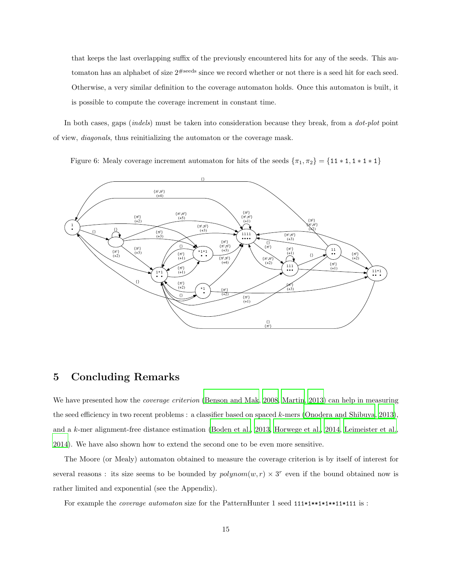that keeps the last overlapping suffix of the previously encountered hits for any of the seeds. This automaton has an alphabet of size  $2^{\#seeds}$  since we record whether or not there is a seed hit for each seed. Otherwise, a very similar definition to the coverage automaton holds. Once this automaton is built, it is possible to compute the coverage increment in constant time.

In both cases, gaps *(indels)* must be taken into consideration because they break, from a *dot-plot* point of view, diagonals, thus reinitializing the automaton or the coverage mask.

<span id="page-14-1"></span>Figure 6: Mealy coverage increment automaton for hits of the seeds  $\{\pi_1, \pi_2\} = \{11 * 1, 1 * 1 * 1\}$ 



## <span id="page-14-0"></span>5 Concluding Remarks

We have presented how the *coverage criterion* [\(Benson and Mak, 2008,](#page-17-1) [Martin, 2013](#page-21-1)) can help in measuring the seed efficiency in two recent problems : a classifier based on spaced k-mers [\(Onodera and Shibuya](#page-21-0), [2013\)](#page-21-0), and a k-mer alignment-free distance estimation [\(Boden et al.](#page-17-0), [2013,](#page-17-0) [Horwege et al.](#page-19-0), [2014,](#page-19-0) [Leimeister et al.](#page-20-0), [2014\)](#page-20-0). We have also shown how to extend the second one to be even more sensitive.

The Moore (or Mealy) automaton obtained to measure the coverage criterion is by itself of interest for several reasons : its size seems to be bounded by  $polynomial(w, r) \times 3^r$  even if the bound obtained now is rather limited and exponential (see the Appendix).

For example the *coverage automaton* size for the PatternHunter 1 seed  $111*1**1*11*111$  is :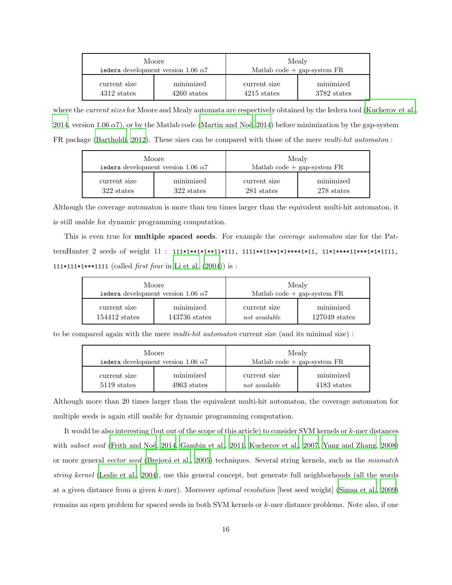|               | Moore<br>iedera development version 1.06 $\alpha$ 7 | Mealy<br>Matlab code $+$ gap-system $FR$ |             |  |  |  |
|---------------|-----------------------------------------------------|------------------------------------------|-------------|--|--|--|
| current size  | minimized                                           | current size                             | minimized   |  |  |  |
| $4312$ states | $4260$ states                                       | $4215$ states                            | 3782 states |  |  |  |

where the *current sizes* for Moore and Mealy automata are respectively obtained by the Iedera tool [\(Kucherov et al.,](#page-20-6) [2014,](#page-20-6) version 1.06  $\alpha$ 7), or by the Matlab code (Martin and Noé, 2014) before minimization by the gap-system FR package [\(Bartholdi, 2012\)](#page-16-4). These sizes can be compared with those of the mere multi-hit automaton :

|              | Moore<br>iedera development version 1.06 $\alpha$ 7 | Mealy<br>Matlab code $+$ gap-system $FR$ |            |  |  |  |
|--------------|-----------------------------------------------------|------------------------------------------|------------|--|--|--|
| current size | minimized                                           | current size                             | minimized  |  |  |  |
| 322 states   | 322 states                                          | 281 states                               | 278 states |  |  |  |

Although the coverage automaton is more than ten times larger than the equivalent multi-hit automaton, it is still usable for dynamic programming computation.

This is even true for **multiple spaced seeds**. For example the *coverage automaton* size for the PatternHunter 2 seeds of weight 11 : 111\*1\*\*1\*1\*\*1\*111, 1111\*\*1\*\*1\*\*\*\*\*1\*11, 11\*1\*\*\*\*11\*\*\*\*1\*1\*111, 111\*111\*1\*\*\*\*1111 (called *first four* in Li et al.  $(2004)$ ) is :

|                 | Moore<br>iedera development version 1.06 $\alpha$ 7 | Mealy<br>Matlab code $+$ gap-system $FR$ |                 |  |  |  |
|-----------------|-----------------------------------------------------|------------------------------------------|-----------------|--|--|--|
| current size    | minimized                                           | current size                             | minimized       |  |  |  |
| $154412$ states | $143736$ states                                     | not available                            | $127049$ states |  |  |  |

to be compared again with the mere *multi-hit automaton* current size (and its minimal size) :

|              | Moore<br>iedera development version 1.06 $\alpha$ 7 | Mealy<br>Matlab code $+$ gap-system FR |             |  |  |  |
|--------------|-----------------------------------------------------|----------------------------------------|-------------|--|--|--|
| current size | minimized                                           | current size                           | minimized   |  |  |  |
| 5119 states  | $4963$ states                                       | not available                          | 4183 states |  |  |  |

Although more than 20 times larger than the equivalent multi-hit automaton, the coverage automaton for multiple seeds is again still usable for dynamic programming computation.

It would be also interesting (but out of the scope of this article) to consider SVM kernels or k-mer distances with subset seed (Frith and Noé, 2014, [Gambin et al., 2011](#page-18-10), [Kucherov et al., 2007](#page-20-5), [Yang and Zhang, 2008](#page-22-12)) or more general vector seed (Brejová et al., 2005) techniques. Several string kernels, such as the mismatch string kernel [\(Leslie et al., 2004\)](#page-20-9), use this general concept, but generate full neighborhoods (all the words at a given distance from a given k-mer). Moreover optimal resolution [best seed weight] [\(Simsa et al.](#page-22-7), [2009](#page-22-7)) remains an open problem for spaced seeds in both SVM kernels or k-mer distance problems. Note also, if one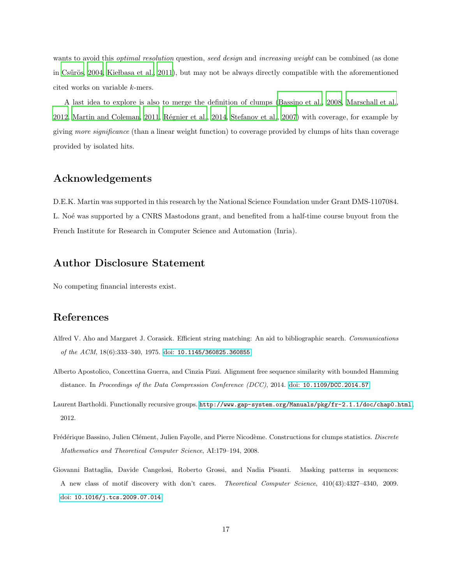wants to avoid this *optimal resolution* question, seed design and increasing weight can be combined (as done in Csűrös, [2004](#page-17-11), Kielbasa et al., 2011), but may not be always directly compatible with the aforementioned cited works on variable k-mers.

A last idea to explore is also to merge the definition of clumps [\(Bassino et al., 2008,](#page-16-1) [Marschall et al.](#page-21-3), [2012,](#page-21-3) [Martin and Coleman](#page-21-6), [2011,](#page-21-6) Régnier et al., [2014,](#page-22-1) [Stefanov et](#page-22-2) al., [2007\)](#page-22-2) with coverage, for example by giving more significance (than a linear weight function) to coverage provided by clumps of hits than coverage provided by isolated hits.

# Acknowledgements

D.E.K. Martin was supported in this research by the National Science Foundation under Grant DMS-1107084. L. Not was supported by a CNRS Mastodons grant, and benefited from a half-time course buyout from the French Institute for Research in Computer Science and Automation (Inria).

# Author Disclosure Statement

No competing financial interests exist.

# References

- <span id="page-16-2"></span>Alfred V. Aho and Margaret J. Corasick. Efficient string matching: An aid to bibliographic search. *Communications of the ACM*, 18(6):333–340, 1975. doi: [10.1145/360825.360855](http://dx.doi.org/10.1145/360825.360855).
- <span id="page-16-3"></span>Alberto Apostolico, Concettina Guerra, and Cinzia Pizzi. Alignment free sequence similarity with bounded Hamming distance. In *Proceedings of the Data Compression Conference (DCC)*, 2014. doi: [10.1109/DCC.2014.57](http://dx.doi.org/10.1109/DCC.2014.57).
- <span id="page-16-4"></span>Laurent Bartholdi. Functionally recursive groups. <http://www.gap-system.org/Manuals/pkg/fr-2.1.1/doc/chap0.html>, 2012.
- <span id="page-16-1"></span>Frédérique Bassino, Julien Clément, Julien Fayolle, and Pierre Nicodème. Constructions for clumps statistics. *Discrete Mathematics and Theoretical Computer Science*, AI:179–194, 2008.
- <span id="page-16-0"></span>Giovanni Battaglia, Davide Cangelosi, Roberto Grossi, and Nadia Pisanti. Masking patterns in sequences: A new class of motif discovery with don't cares. *Theoretical Computer Science*, 410(43):4327–4340, 2009. doi: [10.1016/j.tcs.2009.07.014](http://dx.doi.org/10.1016/j.tcs.2009.07.014).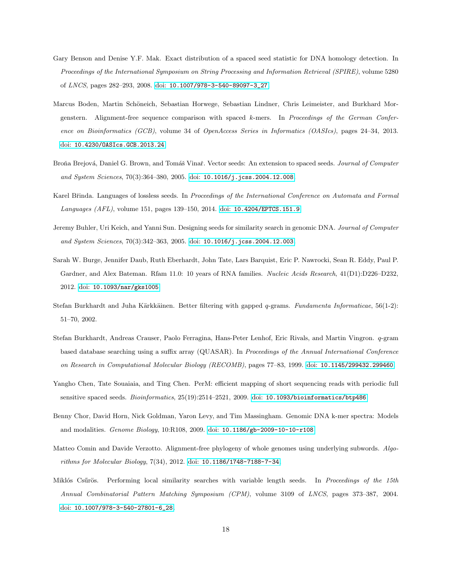- <span id="page-17-1"></span>Gary Benson and Denise Y.F. Mak. Exact distribution of a spaced seed statistic for DNA homology detection. In *Proceedings of the International Symposium on String Processing and Information Retrieval (SPIRE)*, volume 5280 of *LNCS*, pages 282–293, 2008. doi: [10.1007/978-3-540-89097-3\\_27](http://dx.doi.org/10.1007/978-3-540-89097-3_27).
- <span id="page-17-0"></span>Marcus Boden, Martin Schöneich, Sebastian Horwege, Sebastian Lindner, Chris Leimeister, and Burkhard Morgenstern. Alignment-free sequence comparison with spaced k-mers. In *Proceedings of the German Conference on Bioinformatics (GCB)*, volume 34 of *OpenAccess Series in Informatics (OASIcs)*, pages 24–34, 2013. doi: [10.4230/OASIcs.GCB.2013.24](http://dx.doi.org/10.4230/OASIcs.GCB.2013.24).
- <span id="page-17-10"></span>Broña Brejová, Daniel G. Brown, and Tomáš Vinař. Vector seeds: An extension to spaced seeds. *Journal of Computer and System Sciences*, 70(3):364–380, 2005. doi: [10.1016/j.jcss.2004.12.008](http://dx.doi.org/10.1016/j.jcss.2004.12.008).
- <span id="page-17-4"></span>Karel Břinda. Languages of lossless seeds. In *Proceedings of the International Conference on Automata and Formal Languages (AFL)*, volume 151, pages 139–150, 2014. doi: [10.4204/EPTCS.151.9](http://dx.doi.org/10.4204/EPTCS.151.9).
- <span id="page-17-3"></span>Jeremy Buhler, Uri Keich, and Yanni Sun. Designing seeds for similarity search in genomic DNA. *Journal of Computer and System Sciences*, 70(3):342–363, 2005. doi: [10.1016/j.jcss.2004.12.003](http://dx.doi.org/10.1016/j.jcss.2004.12.003).
- <span id="page-17-7"></span>Sarah W. Burge, Jennifer Daub, Ruth Eberhardt, John Tate, Lars Barquist, Eric P. Nawrocki, Sean R. Eddy, Paul P. Gardner, and Alex Bateman. Rfam 11.0: 10 years of RNA families. *Nucleic Acids Research*, 41(D1):D226–D232, 2012. doi: [10.1093/nar/gks1005](http://dx.doi.org/10.1093/nar/gks1005).
- <span id="page-17-5"></span>Stefan Burkhardt and Juha Kärkkäinen. Better filtering with gapped q-grams. *Fundamenta Informaticae*, 56(1-2): 51–70, 2002.
- <span id="page-17-6"></span>Stefan Burkhardt, Andreas Crauser, Paolo Ferragina, Hans-Peter Lenhof, Eric Rivals, and Martin Vingron. q-gram based database searching using a suffix array (QUASAR). In *Proceedings of the Annual International Conference on Research in Computational Molecular Biology (RECOMB)*, pages 77–83, 1999. doi: [10.1145/299432.299460](http://dx.doi.org/10.1145/299432.299460).
- <span id="page-17-2"></span>Yangho Chen, Tate Souaiaia, and Ting Chen. PerM: efficient mapping of short sequencing reads with periodic full sensitive spaced seeds. *Bioinformatics*, 25(19):2514–2521, 2009. doi: [10.1093/bioinformatics/btp486](http://dx.doi.org/10.1093/bioinformatics/btp486).
- <span id="page-17-9"></span>Benny Chor, David Horn, Nick Goldman, Yaron Levy, and Tim Massingham. Genomic DNA k-mer spectra: Models and modalities. *Genome Biology*, 10:R108, 2009. doi: [10.1186/gb-2009-10-10-r108](http://dx.doi.org/10.1186/gb-2009-10-10-r108).
- <span id="page-17-8"></span>Matteo Comin and Davide Verzotto. Alignment-free phylogeny of whole genomes using underlying subwords. *Algorithms for Molecular Biology*, 7(34), 2012. doi: [10.1186/1748-7188-7-34](http://dx.doi.org/10.1186/1748-7188-7-34).
- <span id="page-17-11"></span>Miklós Csűrös. Performing local similarity searches with variable length seeds. In *Proceedings of the 15th Annual Combinatorial Pattern Matching Symposium (CPM)*, volume 3109 of *LNCS*, pages 373–387, 2004. doi: [10.1007/978-3-540-27801-6\\_28](http://dx.doi.org/10.1007/978-3-540-27801-6_28).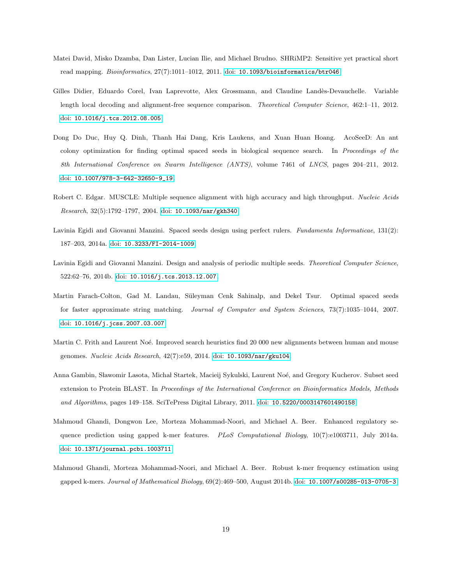- <span id="page-18-0"></span>Matei David, Misko Dzamba, Dan Lister, Lucian Ilie, and Michael Brudno. SHRiMP2: Sensitive yet practical short read mapping. *Bioinformatics*, 27(7):1011–1012, 2011. doi: [10.1093/bioinformatics/btr046](http://dx.doi.org/10.1093/bioinformatics/btr046).
- <span id="page-18-8"></span>Gilles Didier, Eduardo Corel, Ivan Laprevotte, Alex Grossmann, and Claudine Landès-Devauchelle. Variable length local decoding and alignment-free sequence comparison. *Theoretical Computer Science*, 462:1–11, 2012. doi: [10.1016/j.tcs.2012.08.005](http://dx.doi.org/10.1016/j.tcs.2012.08.005).
- <span id="page-18-1"></span>Dong Do Duc, Huy Q. Dinh, Thanh Hai Dang, Kris Laukens, and Xuan Huan Hoang. AcoSeeD: An ant colony optimization for finding optimal spaced seeds in biological sequence search. In *Proceedings of the 8th International Conference on Swarm Intelligence (ANTS)*, volume 7461 of *LNCS*, pages 204–211, 2012. doi: [10.1007/978-3-642-32650-9\\_19](http://dx.doi.org/10.1007/978-3-642-32650-9_19).
- <span id="page-18-7"></span>Robert C. Edgar. MUSCLE: Multiple sequence alignment with high accuracy and high throughput. *Nucleic Acids Research*, 32(5):1792–1797, 2004. doi: [10.1093/nar/gkh340](http://dx.doi.org/10.1093/nar/gkh340).
- <span id="page-18-2"></span>Lavinia Egidi and Giovanni Manzini. Spaced seeds design using perfect rulers. *Fundamenta Informaticae*, 131(2): 187–203, 2014a. doi: [10.3233/FI-2014-1009](http://dx.doi.org/10.3233/FI-2014-1009).
- <span id="page-18-3"></span>Lavinia Egidi and Giovanni Manzini. Design and analysis of periodic multiple seeds. *Theoretical Computer Science*, 522:62–76, 2014b. doi: [10.1016/j.tcs.2013.12.007](http://dx.doi.org/10.1016/j.tcs.2013.12.007).
- <span id="page-18-4"></span>Martin Farach-Colton, Gad M. Landau, Süleyman Cenk Sahinalp, and Dekel Tsur. Optimal spaced seeds for faster approximate string matching. *Journal of Computer and System Sciences*, 73(7):1035–1044, 2007. doi: [10.1016/j.jcss.2007.03.007](http://dx.doi.org/10.1016/j.jcss.2007.03.007).
- <span id="page-18-9"></span>Martin C. Frith and Laurent Noé. Improved search heuristics find 20 000 new alignments between human and mouse genomes. *Nucleic Acids Research*, 42(7):e59, 2014. doi: [10.1093/nar/gku104](http://dx.doi.org/10.1093/nar/gku104).
- <span id="page-18-10"></span>Anna Gambin, Sławomir Lasota, Michał Startek, Macieij Sykulski, Laurent Noé, and Gregory Kucherov. Subset seed extension to Protein BLAST. In *Proceedings of the International Conference on Bioinformatics Models, Methods and Algorithms*, pages 149–158. SciTePress Digital Library, 2011. doi: [10.5220/0003147601490158](http://dx.doi.org/10.5220/0003147601490158).
- <span id="page-18-5"></span>Mahmoud Ghandi, Dongwon Lee, Morteza Mohammad-Noori, and Michael A. Beer. Enhanced regulatory sequence prediction using gapped k-mer features. *PLoS Computational Biology*, 10(7):e1003711, July 2014a. doi: [10.1371/journal.pcbi.1003711](http://dx.doi.org/10.1371/journal.pcbi.1003711).
- <span id="page-18-6"></span>Mahmoud Ghandi, Morteza Mohammad-Noori, and Michael A. Beer. Robust k-mer frequency estimation using gapped k-mers. *Journal of Mathematical Biology*, 69(2):469–500, August 2014b. doi: [10.1007/s00285-013-0705-3](http://dx.doi.org/10.1007/s00285-013-0705-3).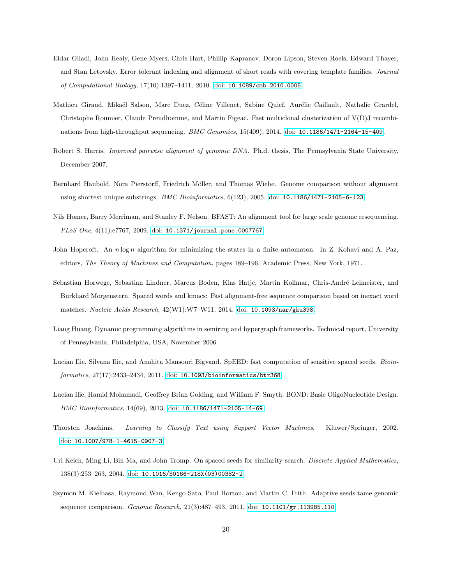- <span id="page-19-7"></span>Eldar Giladi, John Healy, Gene Myers, Chris Hart, Phillip Kapranov, Doron Lipson, Steven Roels, Edward Thayer, and Stan Letovsky. Error tolerant indexing and alignment of short reads with covering template families. *Journal of Computational Biology*, 17(10):1397–1411, 2010. doi: [10.1089/cmb.2010.0005](http://dx.doi.org/10.1089/cmb.2010.0005).
- <span id="page-19-12"></span>Mathieu Giraud, Mikaël Salson, Marc Duez, Céline Villenet, Sabine Quief, Aurélie Caillault, Nathalie Grardel, Christophe Roumier, Claude Preudhomme, and Martin Figeac. Fast multiclonal clusterization of V(D)J recombinations from high-throughput sequencing. *BMC Genomics*, 15(409), 2014. doi: [10.1186/1471-2164-15-409](http://dx.doi.org/10.1186/1471-2164-15-409).
- <span id="page-19-2"></span>Robert S. Harris. *Improved pairwise alignment of genomic DNA*. Ph.d. thesis, The Pennsylvania State University, December 2007.
- <span id="page-19-11"></span>Bernhard Haubold, Nora Pierstorff, Friedrich Möller, and Thomas Wiehe. Genome comparison without alignment using shortest unique substrings. *BMC Bioinformatics*, 6(123), 2005. doi: [10.1186/1471-2105-6-123](http://dx.doi.org/10.1186/1471-2105-6-123).
- <span id="page-19-3"></span>Nils Homer, Barry Merriman, and Stanley F. Nelson. BFAST: An alignment tool for large scale genome resequencing. *PLoS One*, 4(11):e7767, 2009. doi: [10.1371/journal.pone.0007767](http://dx.doi.org/10.1371/ journal.pone.0007767).
- <span id="page-19-8"></span>John Hopcroft. An n log n algorithm for minimizing the states in a finite automaton. In Z. Kohavi and A. Paz, editors, *The Theory of Machines and Computation*, pages 189–196. Academic Press, New York, 1971.
- <span id="page-19-0"></span>Sebastian Horwege, Sebastian Lindner, Marcus Boden, Klas Hatje, Martin Kollmar, Chris-André Leimeister, and Burkhard Morgenstern. Spaced words and kmacs: Fast alignment-free sequence comparison based on inexact word matches. *Nucleic Acids Research*, 42(W1):W7–W11, 2014. doi: [10.1093/nar/gku398](http://dx.doi.org/10.1093/nar/gku398).
- <span id="page-19-9"></span>Liang Huang. Dynamic programming algorithms in semiring and hypergraph frameworks. Technical report, University of Pennsylvania, Philadelphia, USA, November 2006.
- <span id="page-19-6"></span>Lucian Ilie, Silvana Ilie, and Anahita Mansouri Bigvand. SpEED: fast computation of sensitive spaced seeds. *Bioinformatics*, 27(17):2433–2434, 2011. doi: [10.1093/bioinformatics/btr368](http://dx.doi.org/10.1093/bioinformatics/btr368).
- <span id="page-19-4"></span>Lucian Ilie, Hamid Mohamadi, Geoffrey Brian Golding, and William F. Smyth. BOND: Basic OligoNucleotide Design. *BMC Bioinformatics*, 14(69), 2013. doi: [10.1186/1471-2105-14-69](http://dx.doi.org/10.1186/1471-2105-14-69).
- <span id="page-19-10"></span>Thorsten Joachims. *Learning to Classify Text using Support Vector Machines*. Kluwer/Springer, 2002. doi: [10.1007/978-1-4615-0907-3](http://dx.doi.org/10.1007/978-1-4615-0907-3).
- <span id="page-19-1"></span>Uri Keich, Ming Li, Bin Ma, and John Tromp. On spaced seeds for similarity search. *Discrete Applied Mathematics*, 138(3):253–263, 2004. doi: [10.1016/S0166-218X\(03\)00382-2](http://dx.doi.org/10.1016/S0166-218X(03)00382-2).
- <span id="page-19-5"></span>Szymon M. Kiełbasa, Raymond Wan, Kengo Sato, Paul Horton, and Martin C. Frith. Adaptive seeds tame genomic sequence comparison. *Genome Research*, 21(3):487–493, 2011. doi: [10.1101/gr.113985.110](http://dx.doi.org/10.1101/gr.113985.110).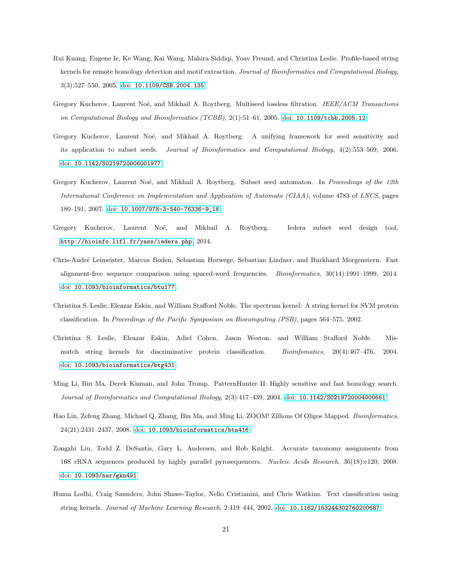- <span id="page-20-10"></span>Rui Kuang, Eugene Ie, Ke Wang, Kai Wang, Mahira Siddiqi, Yoav Freund, and Christina Leslie. Profile-based string kernels for remote homology detection and motif extraction. *Journal of Bioinformatics and Computational Biology*, 3(3):527–550, 2005. doi: [10.1109/CSB.2004.135](http://dx.doi.org/10.1109/CSB.2004.135).
- <span id="page-20-4"></span>Gregory Kucherov, Laurent Noé, and Mikhail A. Roytberg. Multiseed lossless filtration. *IEEE/ACM Transactions on Computational Biology and Bioinformatics (TCBB)*, 2(1):51–61, 2005. doi: [10.1109/tcbb.2005.12](http://dx.doi.org/10.1109/tcbb.2005.12).
- <span id="page-20-3"></span>Gregory Kucherov, Laurent Noé, and Mikhail A. Roytberg. A unifying framework for seed sensitivity and its application to subset seeds. *Journal of Bioinformatics and Computational Biology*, 4(2):553–569, 2006. doi: [10.1142/S0219720006001977](http://dx.doi.org/10.1142/S0219720006001977).
- <span id="page-20-5"></span>Gregory Kucherov, Laurent Noé, and Mikhail A. Roytberg. Subset seed automaton. In *Proceedings of the 12th International Conference on Implementation and Application of Automata (CIAA)*, volume 4783 of *LNCS*, pages 180–191, 2007. doi: [10.1007/978-3-540-76336-9\\_18](http://dx.doi.org/10.1007/978-3-540-76336-9_18).
- <span id="page-20-6"></span>Gregory Kucherov, Laurent Noé, and Mikhail A. Roytberg. Iedera subset seed design tool. <http://bioinfo.lifl.fr/yass/iedera.php>, 2014.
- <span id="page-20-0"></span>Chris-Andr´e Leimeister, Marcus Boden, Sebastian Horwege, Sebastian Lindner, and Burkhard Morgenstern. Fast alignment-free sequence comparison using spaced-word frequencies. *Bioinformatics*, 30(14):1991–1999, 2014. doi: [10.1093/bioinformatics/btu177](http://dx.doi.org/10.1093/bioinformatics/btu177).
- <span id="page-20-8"></span>Christina S. Leslie, Eleazar Eskin, and William Stafford Noble. The spectrum kernel: A string kernel for SVM protein classification. In *Proceedings of the Pacific Symposium on Biocomputing (PSB)*, pages 564–575, 2002.
- <span id="page-20-9"></span>Christina S. Leslie, Eleazar Eskin, Adiel Cohen, Jason Weston, and William Stafford Noble. Mismatch string kernels for discriminative protein classification. *Bioinfomatics*, 20(4):467–476, 2004. doi: [10.1093/bioinformatics/btg431](http://dx.doi.org/10.1093/bioinformatics/btg431).
- <span id="page-20-1"></span>Ming Li, Bin Ma, Derek Kisman, and John Tromp. PatternHunter II: Highly sensitive and fast homology search. *Journal of Bioinformatics and Computational Biology*, 2(3):417–439, 2004. doi: [10.1142/S0219720004000661](http://dx.doi.org/10.1142/S0219720004000661).
- <span id="page-20-2"></span>Hao Lin, Zefeng Zhang, Michael Q. Zhang, Bin Ma, and Ming Li. ZOOM! Zillions Of Oligos Mapped. *Bioinformatics*, 24(21):2431–2437, 2008. doi: [10.1093/bioinformatics/btn416](http://dx.doi.org/10.1093/bioinformatics/btn416).
- <span id="page-20-11"></span>Zongzhi Liu, Todd Z. DeSantis, Gary L. Andersen, and Rob Knight. Accurate taxonomy assignments from 16S rRNA sequences produced by highly parallel pyrosequencers. *Nucleic Acids Research*, 36(18):e120, 2008. doi: [10.1093/nar/gkn491](http://dx.doi.org/10.1093/nar/gkn491).
- <span id="page-20-7"></span>Huma Lodhi, Craig Saunders, John Shawe-Taylor, Nello Cristianini, and Chris Watkins. Text classification using string kernels. *Journal of Machine Learning Research*, 2:419–444, 2002. doi: [10.1162/153244302760200687](http://dx.doi.org/10.1162/153244302760200687).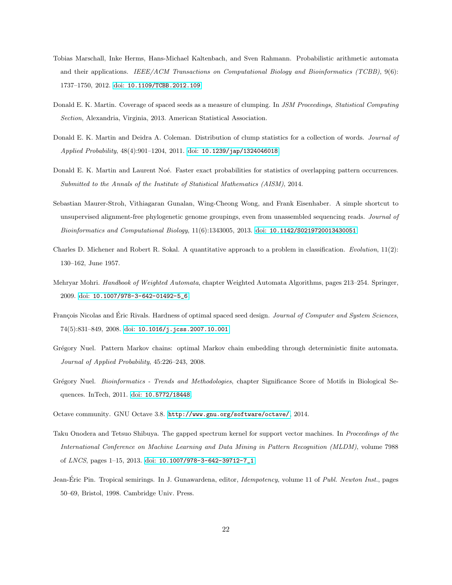- <span id="page-21-3"></span>Tobias Marschall, Inke Herms, Hans-Michael Kaltenbach, and Sven Rahmann. Probabilistic arithmetic automata and their applications. *IEEE/ACM Transactions on Computational Biology and Bioinformatics (TCBB)*, 9(6): 1737–1750, 2012. doi: [10.1109/TCBB.2012.109](http://dx.doi.org/10.1109/TCBB.2012.109).
- <span id="page-21-1"></span>Donald E. K. Martin. Coverage of spaced seeds as a measure of clumping. In *JSM Proceedings, Statistical Computing Section*, Alexandria, Virginia, 2013. American Statistical Association.
- <span id="page-21-6"></span>Donald E. K. Martin and Deidra A. Coleman. Distribution of clump statistics for a collection of words. *Journal of Applied Probability*, 48(4):901–1204, 2011. doi: [10.1239/jap/1324046018](http://dx.doi.org/10.1239/jap/1324046018).
- <span id="page-21-2"></span>Donald E. K. Martin and Laurent Noé. Faster exact probabilities for statistics of overlapping pattern occurrences. *Submitted to the Annals of the Institute of Statistical Mathematics (AISM)*, 2014.
- <span id="page-21-11"></span>Sebastian Maurer-Stroh, Vithiagaran Gunalan, Wing-Cheong Wong, and Frank Eisenhaber. A simple shortcut to unsupervised alignment-free phylogenetic genome groupings, even from unassembled sequencing reads. *Journal of Bioinformatics and Computational Biology*, 11(6):1343005, 2013. doi: [10.1142/S0219720013430051](http://dx.doi.org/10.1142/S0219720013430051).
- <span id="page-21-12"></span>Charles D. Michener and Robert R. Sokal. A quantitative approach to a problem in classification. *Evolution*, 11(2): 130–162, June 1957.
- <span id="page-21-9"></span>Mehryar Mohri. *Handbook of Weighted Automata*, chapter Weighted Automata Algorithms, pages 213–254. Springer, 2009. doi: [10.1007/978-3-642-01492-5\\_6](http://dx.doi.org/10.1007/978-3-642-01492-5_6).
- <span id="page-21-5"></span>François Nicolas and Éric Rivals. Hardness of optimal spaced seed design. *Journal of Computer and System Sciences*, 74(5):831–849, 2008. doi: [10.1016/j.jcss.2007.10.001](http://dx.doi.org/10.1016/j.jcss.2007.10.001).
- <span id="page-21-8"></span>Grégory Nuel. Pattern Markov chains: optimal Markov chain embedding through deterministic finite automata. *Journal of Applied Probability*, 45:226–243, 2008.
- <span id="page-21-4"></span>Gr´egory Nuel. *Bioinformatics - Trends and Methodologies*, chapter Significance Score of Motifs in Biological Sequences. InTech, 2011. doi: [10.5772/18448](http://dx.doi.org/10.5772/18448).
- <span id="page-21-7"></span>Octave community. GNU Octave 3.8. <http://www.gnu.org/software/octave/>, 2014.
- <span id="page-21-0"></span>Taku Onodera and Tetsuo Shibuya. The gapped spectrum kernel for support vector machines. In *Proceedings of the International Conference on Machine Learning and Data Mining in Pattern Recognition (MLDM)*, volume 7988 of *LNCS*, pages 1–15, 2013. doi: [10.1007/978-3-642-39712-7\\_1](http://dx.doi.org/10.1007/978-3-642-39712-7_1).
- <span id="page-21-10"></span>Jean-Eric Pin. Tropical semirings. In J. Gunawardena, editor, ´ *Idempotency*, volume 11 of *Publ. Newton Inst.*, pages 50–69, Bristol, 1998. Cambridge Univ. Press.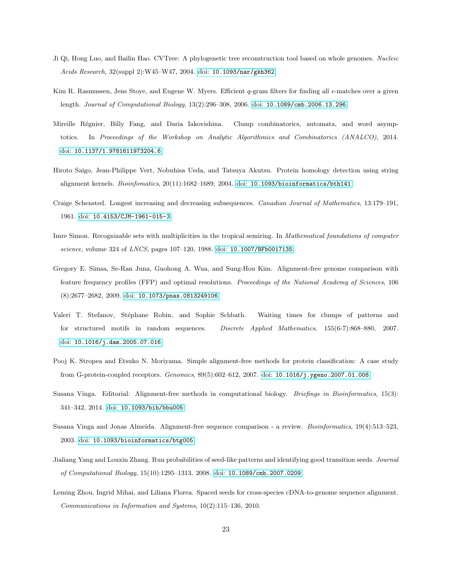- <span id="page-22-6"></span>Ji Qi, Hong Luo, and Bailin Hao. CVTree: A phylogenetic tree reconstruction tool based on whole genomes. *Nucleic Acids Research*, 32(suppl 2):W45–W47, 2004. doi: [10.1093/nar/gkh362](http://dx.doi.org/10.1093/nar/gkh362).
- <span id="page-22-3"></span>Kim R. Rasmussen, Jens Stoye, and Eugene W. Myers. Efficient q-gram filters for finding all  $\epsilon$ -matches over a given length. *Journal of Computational Biology*, 13(2):296–308, 2006. doi: [10.1089/cmb.2006.13.296](http://dx.doi.org/10.1089/cmb.2006.13.296).
- <span id="page-22-1"></span>Mireille Régnier, Billy Fang, and Daria Iakovishina. Clump combinatorics, automata, and word asymptotics. In *Proceedings of the Workshop on Analytic Algorithmics and Combinatorics (ANALCO)*, 2014. doi: [10.1137/1.9781611973204.6](http://dx.doi.org/10.1137/1.9781611973204.6).
- <span id="page-22-5"></span>Hiroto Saigo, Jean-Philippe Vert, Nobuhisa Ueda, and Tatsuya Akutsu. Protein homology detection using string alignment kernels. *Bioinfomatics*, 20(11):1682–1689, 2004. doi: [10.1093/bioinformatics/bth141](http://dx.doi.org/10.1093/bioinformatics/bth141).
- <span id="page-22-11"></span>Craige Schensted. Longest increasing and decreasing subsequences. *Canadian Journal of Mathematics*, 13:179–191, 1961. doi: [10.4153/CJM-1961-015-3](http://dx.doi.org/10.4153/CJM-1961-015-3).
- <span id="page-22-4"></span>Imre Simon. Recognizable sets with multiplicities in the tropical semiring. In *Mathematical foundations of computer science*, volume 324 of *LNCS*, pages 107–120, 1988. doi: [10.1007/BFb0017135](http://dx.doi.org/10.1007/BFb0017135).
- <span id="page-22-7"></span>Gregory E. Simsa, Se-Ran Juna, Guohong A. Wua, and Sung-Hou Kim. Alignment-free genome comparison with feature frequency profiles (FFP) and optimal resolutions. *Proceedings of the National Academy of Sciences*, 106 (8):2677–2682, 2009. doi: [10.1073/pnas.0813249106](http://dx.doi.org/10.1073/pnas.0813249106).
- <span id="page-22-2"></span>Valeri T. Stefanov, Stéphane Robin, and Sophie Schbath. Waiting times for clumps of patterns and for structured motifs in random sequences. *Discrete Applied Mathematics*, 155(6-7):868–880, 2007. doi: [10.1016/j.dam.2005.07.016](http://dx.doi.org/10.1016/j.dam.2005.07.016).
- <span id="page-22-9"></span>Pooj K. Stropea and Etsuko N. Moriyama. Simple alignment-free methods for protein classification: A case study from G-protein-coupled receptors. *Genomics*, 89(5):602–612, 2007. doi: [10.1016/j.ygeno.2007.01.008](http://dx.doi.org/10.1016/j.ygeno.2007.01.008).
- <span id="page-22-10"></span>Susana Vinga. Editorial: Alignment-free methods in computational biology. *Briefings in Bioinformatics*, 15(3): 341–342, 2014. doi: [10.1093/bib/bbu005](http://dx.doi.org/10.1093/bib/bbu005).
- <span id="page-22-8"></span>Susana Vinga and Jonas Almeida. Alignment-free sequence comparison - a review. *Bioinformatics*, 19(4):513–523, 2003. doi: [10.1093/bioinformatics/btg005](http://dx.doi.org/10.1093/bioinformatics/btg005).
- <span id="page-22-12"></span>Jialiang Yang and Louxin Zhang. Run probabilities of seed-like patterns and identifying good transition seeds. *Journal of Computational Biology*, 15(10):1295–1313, 2008. doi: [10.1089/cmb.2007.0209](http://dx.doi.org/10.1089/cmb.2007.0209).
- <span id="page-22-0"></span>Leming Zhou, Ingrid Mihai, and Liliana Florea. Spaced seeds for cross-species cDNA-to-genome sequence alignment. *Communications in Information and Systems*, 10(2):115–136, 2010.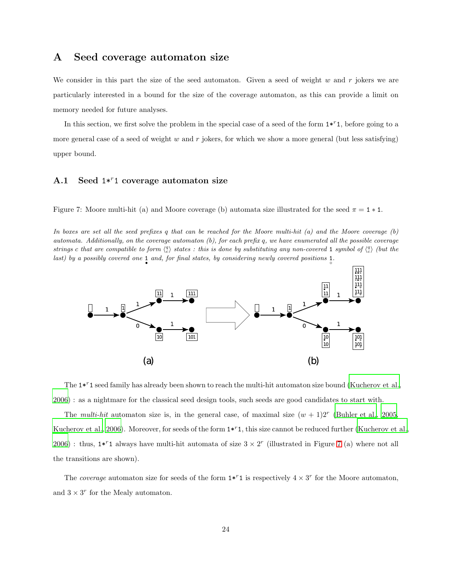### A Seed coverage automaton size

We consider in this part the size of the seed automaton. Given a seed of weight  $w$  and  $r$  jokers we are particularly interested in a bound for the size of the coverage automaton, as this can provide a limit on memory needed for future analyses.

In this section, we first solve the problem in the special case of a seed of the form  $1*^{r}1$ , before going to a more general case of a seed of weight w and r jokers, for which we show a more general (but less satisfying) upper bound.

### <span id="page-23-1"></span>A.1 Seed  $1*^{r}1$  coverage automaton size

<span id="page-23-0"></span>Figure 7: Moore multi-hit (a) and Moore coverage (b) automata size illustrated for the seed  $\pi = 1 * 1$ .

*In boxes are set all the seed prefixes* q *that can be reached for the Moore multi-hit (a) and the Moore coverage (b) automata. Additionally, on the coverage automaton (b), for each prefix* q*, we have enumerated all the possible coverage* strings c that are compatible to form  $\langle {a \atop c} \rangle$  states : this is done by substituting any non-covered 1 symbol of  $\langle {a \atop c} \rangle$  (but the *last)* by a possibly covered one 1 and, for final states, by considering newly covered positions 1.



The  $1*^{r}1$  seed family has already been shown to reach the multi-hit automaton size bound [\(Kucherov et al.,](#page-20-3) [2006\)](#page-20-3) : as a nightmare for the classical seed design tools, such seeds are good candidates to start with.

The multi-hit automaton size is, in the general case, of maximal size  $(w + 1)2^r$  [\(Buhler et al., 2005](#page-17-3), [Kucherov et al., 2006\)](#page-20-3). Moreover, for seeds of the form  $1 * r1$ , this size cannot be reduced further [\(Kucherov et al.,](#page-20-3) [2006\)](#page-20-3): thus,  $1 * r1$  always have multi-hit automata of size  $3 \times 2^r$  (illustrated in Figure [7](#page-23-0) (a) where not all the transitions are shown).

The coverage automaton size for seeds of the form  $1*^{r}1$  is respectively  $4 \times 3^{r}$  for the Moore automaton, and  $3 \times 3^r$  for the Mealy automaton.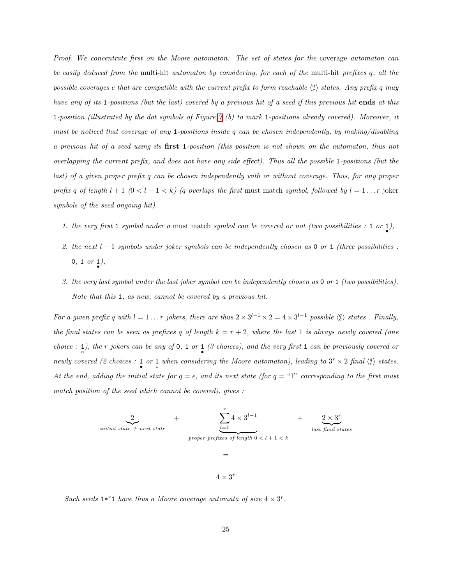Proof. We concentrate first on the Moore automaton. The set of states for the coverage automaton can be easily deduced from the multi-hit automaton by considering, for each of the multi-hit prefixes q, all the possible coverages c that are compatible with the current prefix to form reachable  $\langle \frac{q}{c} \rangle$  states. Any prefix q may have any of its 1-positions (but the last) covered by a previous hit of a seed if this previous hit ends at this 1-position (illustrated by the dot symbols of Figure [7](#page-23-0) (b) to mark 1-positions already covered). Moreover, it must be noticed that coverage of any 1-positions inside q can be chosen independently, by making/disabling a previous hit of a seed using its first 1-position (this position is not shown on the automaton, thus not overlapping the current prefix, and does not have any side effect). Thus all the possible 1-positions (but the last) of a given proper prefix q can be chosen independently with or without coverage. Thus, for any proper prefix q of length  $l + 1$   $(0 < l + 1 < k)$  (q overlaps the first must match symbol, followed by  $l = 1...r$  joker symbols of the seed ongoing hit)

- 1. the very first 1 symbol under a must match symbol can be covered or not (two possibilities : 1 or  $\downarrow$ ),
- 2. the next  $l-1$  symbols under joker symbols can be independently chosen as 0 or 1 (three possibilities :  $0, 1 \text{ or } 1),$
- 3. the very last symbol under the last joker symbol can be independently chosen as 0 or 1 (two possibilities). Note that this 1, as new, cannot be covered by a previous hit.

For a given prefix q with  $l = 1 \ldots r$  jokers, there are thus  $2 \times 3^{l-1} \times 2 = 4 \times 3^{l-1}$  possible  $\langle \frac{q}{c} \rangle$  states. Finally, the final states can be seen as prefixes q of length  $k = r + 2$ , where the last 1 is always newly covered (one choice : 1), the r jokers can be any of 0, 1 or 1 (3 choices), and the very first 1 can be previously covered or newly covered (2 choices : 1 or 1 when considering the Moore automaton), leading to  $3^r \times 2$  final  $\langle \frac{q}{c} \rangle$  states. At the end, adding the initial state for  $q = \epsilon$ , and its next state (for  $q = 1$ " corresponding to the first must match position of the seed which cannot be covered), gives :



 $4 \times 3^{r}$ 

Such seeds  $1*^{r}1$  have thus a Moore coverage automata of size  $4 \times 3^{r}$ .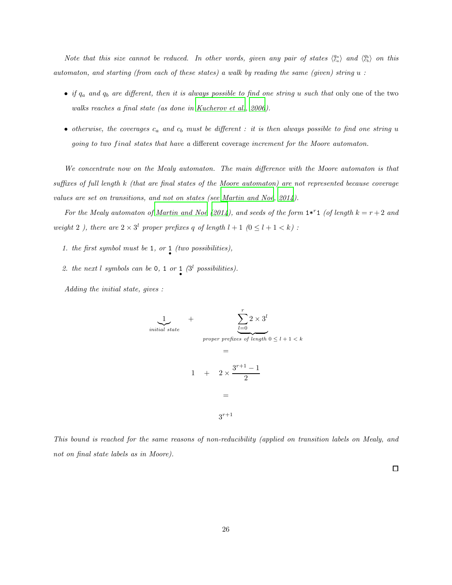Note that this size cannot be reduced. In other words, given any pair of states  $\langle \frac{q_a}{c_a} \rangle$  and  $\langle \frac{q_b}{c_b} \rangle$  on this automaton, and starting (from each of these states) a walk by reading the same (given) string u :

- if  $q_a$  and  $q_b$  are different, then it is always possible to find one string u such that only one of the two walks reaches a final state (as done in [Kucherov et al.](#page-20-3), [2006](#page-20-3)).
- otherwise, the coverages  $c_a$  and  $c_b$  must be different : it is then always possible to find one string u going to two final states that have a different coverage increment for the Moore automaton.

We concentrate now on the Mealy automaton. The main difference with the Moore automaton is that suffixes of full length k (that are final states of the Moore automaton) are not represented because coverage values are set on transitions, and not on states (see Martin and Noé,  $2014$ ).

For the Mealy automaton of Martin and Noé (2014), and seeds of the form  $1^{*}$  and  $($ of length  $k = r + 2$  and weight 2), there are  $2 \times 3^l$  proper prefixes q of length  $l + 1$   $(0 \leq l + 1 < k)$ :

- 1. the first symbol must be 1, or  $\frac{1}{\bullet}$  (two possibilities),
- 2. the next l symbols can be 0, 1 or  $1 \binom{3^l}{2^l}$  possibilities).

 $in$ 

Adding the initial state, gives :

1 |{z} + Xr l=0 2 × 3 l | {z } proper prefixes of length 0 ≤ l + 1 < k = 1 + 2 × 3 <sup>r</sup>+1 − 1 2 = 3 r+1

This bound is reached for the same reasons of non-reducibility (applied on transition labels on Mealy, and not on final state labels as in Moore).

 $\Box$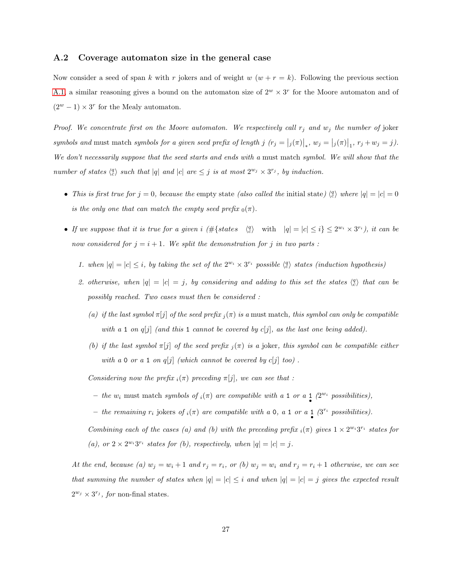#### A.2 Coverage automaton size in the general case

Now consider a seed of span k with r jokers and of weight  $w (w + r = k)$ . Following the previous section [A.1,](#page-23-1) a similar reasoning gives a bound on the automaton size of  $2^w \times 3^r$  for the Moore automaton and of  $(2^w - 1) \times 3^r$  for the Mealy automaton.

Proof. We concentrate first on the Moore automaton. We respectively call  $r_j$  and  $w_j$  the number of joker symbols and must match symbols for a given seed prefix of length j  $(r_j = |j(\pi)|_*, w_j = |j(\pi)|_1, r_j + w_j = j)$ . We don't necessarily suppose that the seed starts and ends with a must match symbol. We will show that the number of states  $\langle \begin{array}{c} \alpha \\ \end{array} \rangle$  such that |q| and |c| are  $\leq j$  is at most  $2^{w_j} \times 3^{r_j}$ , by induction.

- This is first true for  $j = 0$ , because the empty state (also called the initial state)  $\binom{q}{c}$  where  $|q| = |c| = 0$ is the only one that can match the empty seed prefix  $_0(\pi)$ .
- If we suppose that it is true for a given i  $(\#\{\text{states} \mid \binom{q}{c} \text{ with } |q| = |c| \leq i\} \leq 2^{w_i} \times 3^{r_i}$ , it can be now considered for  $j = i + 1$ . We split the demonstration for j in two parts :
	- 1. when  $|q| = |c| \leq i$ , by taking the set of the  $2^{w_i} \times 3^{r_i}$  possible  $\binom{q}{c}$  states (induction hypothesis)
	- 2. otherwise, when  $|q| = |c| = j$ , by considering and adding to this set the states  $\binom{q}{c}$  that can be possibly reached. Two cases must then be considered :
		- (a) if the last symbol  $\pi[j]$  of the seed prefix  $_i(\pi)$  is a must match, this symbol can only be compatible with a 1 on  $q[j]$  (and this 1 cannot be covered by  $c[j]$ , as the last one being added).
		- (b) if the last symbol  $\pi[j]$  of the seed prefix  $_j(\pi)$  is a joker, this symbol can be compatible either with a 0 or a 1 on  $q[j]$  (which cannot be covered by  $c[j]$  too).

Considering now the prefix  $_i(\pi)$  preceding  $\pi[j]$ , we can see that :

- the  $w_i$  must match symbols of  $_i(\pi)$  are compatible with a 1 or a 1  $(2^{w_i}$  possibilities),
- the remaining  $r_i$  jokers of  $_i(\pi)$  are compatible with a 0, a 1 or a 1  $(3^{r_i}$  possibilities).

Combining each of the cases (a) and (b) with the preceding prefix  $_i(\pi)$  gives  $1 \times 2^{w_i} 3^{r_i}$  states for (a), or  $2 \times 2^{w_i} 3^{r_i}$  states for (b), respectively, when  $|q| = |c| = j$ .

At the end, because (a)  $w_j = w_i + 1$  and  $r_j = r_i$ , or (b)  $w_j = w_i$  and  $r_j = r_i + 1$  otherwise, we can see that summing the number of states when  $|q| = |c| \leq i$  and when  $|q| = |c| = j$  gives the expected result  $2^{w_j} \times 3^{r_j}$ , for non-final states.